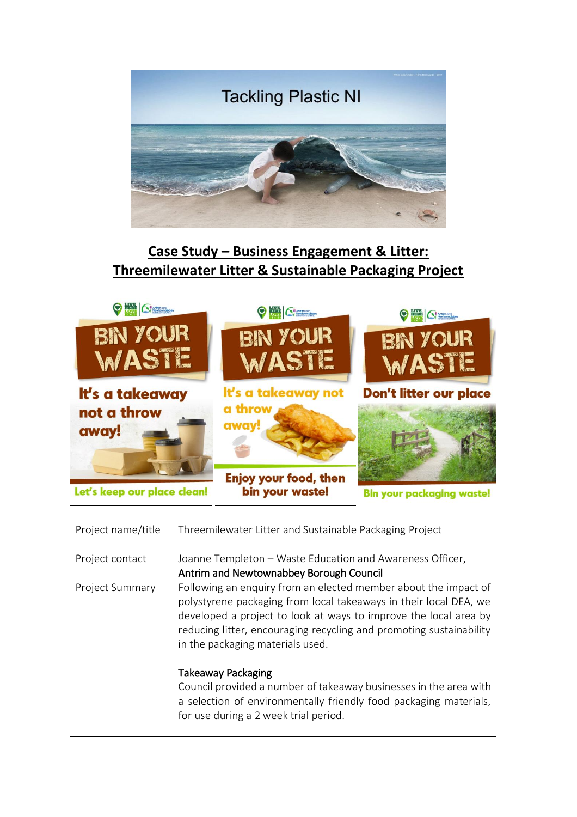

## **Case Study – Business Engagement & Litter: Threemilewater Litter & Sustainable Packaging Project**



bin your waste!

**Bin your packaging waste!** 

| Project name/title     | Threemilewater Litter and Sustainable Packaging Project             |
|------------------------|---------------------------------------------------------------------|
|                        |                                                                     |
| Project contact        | Joanne Templeton - Waste Education and Awareness Officer,           |
|                        | Antrim and Newtownabbey Borough Council                             |
| <b>Project Summary</b> | Following an enquiry from an elected member about the impact of     |
|                        | polystyrene packaging from local takeaways in their local DEA, we   |
|                        | developed a project to look at ways to improve the local area by    |
|                        | reducing litter, encouraging recycling and promoting sustainability |
|                        |                                                                     |
|                        | in the packaging materials used.                                    |
|                        |                                                                     |
|                        | <b>Takeaway Packaging</b>                                           |
|                        | Council provided a number of takeaway businesses in the area with   |
|                        | a selection of environmentally friendly food packaging materials,   |
|                        | for use during a 2 week trial period.                               |
|                        |                                                                     |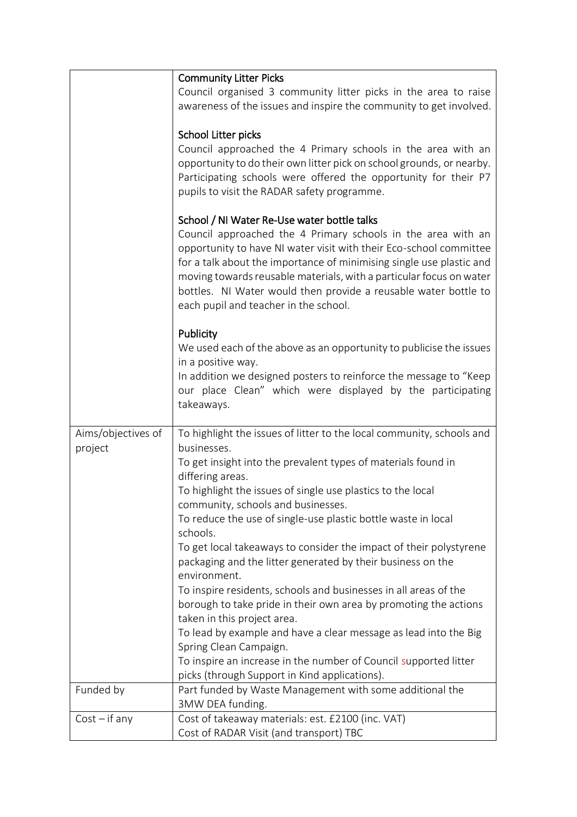|                               | <b>Community Litter Picks</b>                                                                                                                                                                                                                                                                                                                                                                                                                |
|-------------------------------|----------------------------------------------------------------------------------------------------------------------------------------------------------------------------------------------------------------------------------------------------------------------------------------------------------------------------------------------------------------------------------------------------------------------------------------------|
|                               | Council organised 3 community litter picks in the area to raise<br>awareness of the issues and inspire the community to get involved.                                                                                                                                                                                                                                                                                                        |
|                               | School Litter picks<br>Council approached the 4 Primary schools in the area with an<br>opportunity to do their own litter pick on school grounds, or nearby.<br>Participating schools were offered the opportunity for their P7<br>pupils to visit the RADAR safety programme.                                                                                                                                                               |
|                               | School / NI Water Re-Use water bottle talks<br>Council approached the 4 Primary schools in the area with an<br>opportunity to have NI water visit with their Eco-school committee<br>for a talk about the importance of minimising single use plastic and<br>moving towards reusable materials, with a particular focus on water<br>bottles. NI Water would then provide a reusable water bottle to<br>each pupil and teacher in the school. |
|                               | Publicity<br>We used each of the above as an opportunity to publicise the issues<br>in a positive way.<br>In addition we designed posters to reinforce the message to "Keep<br>our place Clean" which were displayed by the participating<br>takeaways.                                                                                                                                                                                      |
| Aims/objectives of<br>project | To highlight the issues of litter to the local community, schools and<br>businesses.                                                                                                                                                                                                                                                                                                                                                         |
|                               | To get insight into the prevalent types of materials found in<br>differing areas.                                                                                                                                                                                                                                                                                                                                                            |
|                               | To highlight the issues of single use plastics to the local<br>community, schools and businesses.                                                                                                                                                                                                                                                                                                                                            |
|                               | To reduce the use of single-use plastic bottle waste in local<br>schools.                                                                                                                                                                                                                                                                                                                                                                    |
|                               | To get local takeaways to consider the impact of their polystyrene<br>packaging and the litter generated by their business on the<br>environment.                                                                                                                                                                                                                                                                                            |
|                               | To inspire residents, schools and businesses in all areas of the<br>borough to take pride in their own area by promoting the actions<br>taken in this project area.                                                                                                                                                                                                                                                                          |
|                               | To lead by example and have a clear message as lead into the Big<br>Spring Clean Campaign.                                                                                                                                                                                                                                                                                                                                                   |
|                               | To inspire an increase in the number of Council supported litter<br>picks (through Support in Kind applications).                                                                                                                                                                                                                                                                                                                            |
| Funded by                     | Part funded by Waste Management with some additional the<br>3MW DEA funding.                                                                                                                                                                                                                                                                                                                                                                 |
| $Cost - if any$               | Cost of takeaway materials: est. £2100 (inc. VAT)<br>Cost of RADAR Visit (and transport) TBC                                                                                                                                                                                                                                                                                                                                                 |